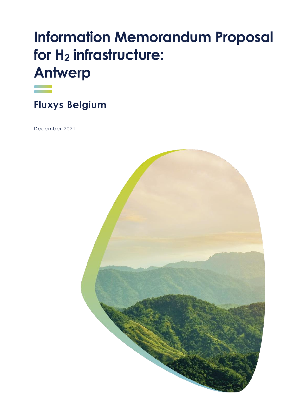# **Information Memorandum Proposal for H<sup>2</sup> infrastructure: Antwerp**



**Fluxys Belgium** 

December 2021

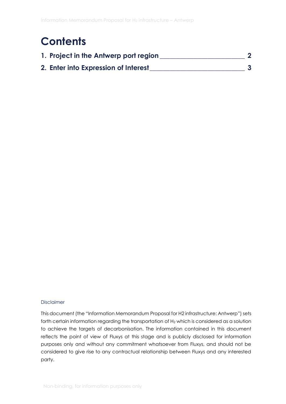### **Contents**

| 1. Project in the Antwerp port region |  |
|---------------------------------------|--|
| 2. Enter into Expression of Interest  |  |

#### Disclaimer

This document (the "Information Memorandum Proposal for H2 infrastructure: Antwerp") sets forth certain information regarding the transportation of H<sub>2</sub> which is considered as a solution to achieve the targets of decarbonisation. The information contained in this document reflects the point of view of Fluxys at this stage and is publicly disclosed for information purposes only and without any commitment whatsoever from Fluxys, and should not be considered to give rise to any contractual relationship between Fluxys and any interested party.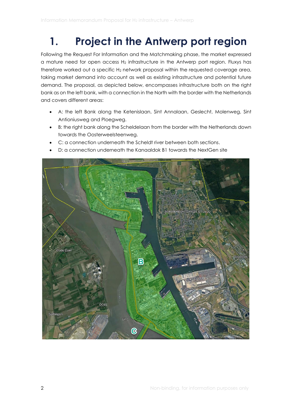## <span id="page-2-0"></span>**1. Project in the Antwerp port region**

Following the Request For Information and the Matchmaking phase, the market expressed a mature need for open access  $H_2$  infrastructure in the Antwerp port region. Fluxys has therefore worked out a specific  $H_2$  network proposal within the requested coverage area, taking market demand into account as well as existing infrastructure and potential future demand. The proposal, as depicted below, encompasses infrastructure both on the right bank as on the left bank, with a connection in the North with the border with the Netherlands and covers different areas:

- A: the left Bank along the Ketenislaan, Sint Annalaan, Geslecht, Molenweg, Sint Antioniusweg and Ploegweg.
- B: the right bank along the Scheldelaan from the border with the Netherlands down towards the Oosterweelsteenweg.
- C: a connection underneath the Scheldt river between both sections.
- D: a connection underneath the Kanaaldok B1 towards the NextGen site